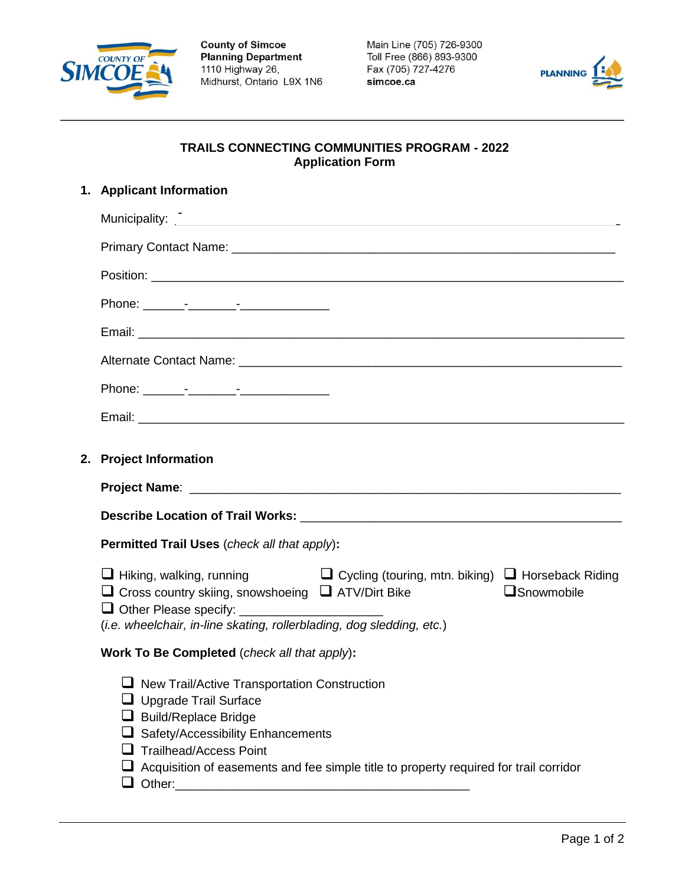

**County of Simcoe<br>Planning Department** 1110 Highway 26, Midhurst, Ontario L9X 1N6 Main Line (705) 726-9300 Toll Free (866) 893-9300 Fax (705) 727-4276 simcoe.ca



## **TRAILS CONNECTING COMMUNITIES PROGRAM - 2022 Application Form**

| 1. Applicant Information                                                                                                                                                                                                                                              |  |  |
|-----------------------------------------------------------------------------------------------------------------------------------------------------------------------------------------------------------------------------------------------------------------------|--|--|
| Municipality:                                                                                                                                                                                                                                                         |  |  |
|                                                                                                                                                                                                                                                                       |  |  |
|                                                                                                                                                                                                                                                                       |  |  |
|                                                                                                                                                                                                                                                                       |  |  |
|                                                                                                                                                                                                                                                                       |  |  |
| Alternate Contact Name: <b>Alternative Contact Name:</b> Alternative Contact Name: Alternative Contact Name: Alternative                                                                                                                                              |  |  |
|                                                                                                                                                                                                                                                                       |  |  |
|                                                                                                                                                                                                                                                                       |  |  |
| 2. Project Information                                                                                                                                                                                                                                                |  |  |
|                                                                                                                                                                                                                                                                       |  |  |
|                                                                                                                                                                                                                                                                       |  |  |
| <b>Permitted Trail Uses</b> (check all that apply):                                                                                                                                                                                                                   |  |  |
| $\Box$ Hiking, walking, running $\Box$ Cycling (touring, mtn. biking) $\Box$ Horseback Riding<br>$\square$ Snowmobile<br>$\Box$ Cross country skiing, snowshoeing $\Box$ ATV/Dirt Bike<br>(i.e. wheelchair, in-line skating, rollerblading, dog sledding, etc.)       |  |  |
| Work To Be Completed (check all that apply):                                                                                                                                                                                                                          |  |  |
| $\Box$ New Trail/Active Transportation Construction<br>□ Upgrade Trail Surface<br>Build/Replace Bridge<br>Safety/Accessibility Enhancements<br><b>Trailhead/Access Point</b><br>Acquisition of easements and fee simple title to property required for trail corridor |  |  |